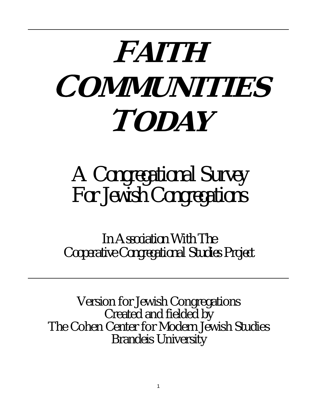# **FAITH OMMUNITIES**  $\boldsymbol{TOMY}$

## *A Congregational Survey For Jewish Congregations*

*In Association With The Cooperative Congregational Studies Project*

Version for Jewish Congregations Created and fielded by The Cohen Center for Modern Jewish Studies Brandeis University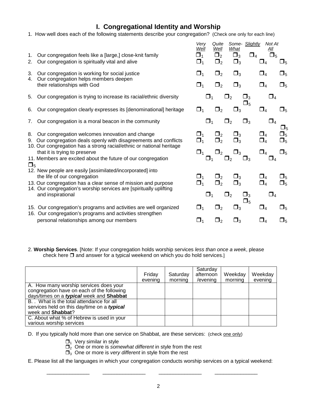#### **I. Congregational Identity and Worship**

- 1. How well does each of the following statements describe your congregation? (Check one only for each line)
- 
- 2. Our congregation is spiritually vital and alive  $\Box_1$   $\Box_2$   $\Box_3$   $\Box_4$   $\Box_5$
- 
- 4. Our congregation helps members deepen
- 5. Our congregation is trying to increase its racial/ethnic diversity  $\Box_1 \Box_2 \Box_3 \Box_4$
- 6. Our congregation clearly expresses its [denominational] heritage  $\Box_1$   $\Box_2$   $\Box_3$   $\Box_4$   $\Box_5$
- 7. Our congregation is a moral beacon in the community  $\Box_1$   $\Box_2$   $\Box_3$   $\Box_4$
- 
- 9. Our congregation deals openly with disagreements and conflicts  $\Box_1$   $\Box_2$   $\Box_3$   $\Box_4$   $\Box_5$
- 10. Our congregation has a strong racial/ethnic or national heritage that it is trying to preserve 1 2 3  $\Box_1$   $\Box_2$   $\Box_3$   $\Box_4$   $\Box_5$
- 11. Members are excited about the future of our congregation  $\Box_1$   $\Box_2$   $\Box_3$   $\Box_4$  $\Box_5$
- 12. New people are easily [assimilated/incorporated] into
- 13. Our congregation has a clear sense of mission and purpose  $\Box_1$   $\Box_2$   $\Box_3$   $\Box_4$   $\Box_5$
- 14. Our congregation's worship services are [spiritually uplifting and inspirational  $\Box_1$   $\Box_2$   $\Box_3$   $\Box_4$
- 15. Our congregation's programs and activities are well organized  $\Box_1$   $\Box_2$   $\Box_3$   $\Box_4$   $\Box_5$
- 16. Our congregation's programs and activities strengthen personal relationships among our members  $\Box_1$   $\Box_2$   $\Box_3$   $\Box_4$   $\Box_5$
- *Very Quite Some- Slightly Not At Well Well What All* 1. Our congregation feels like a [large,] close-knit family  $\begin{array}{ccccccccc}\n & & & & & \text{Well} & \text{Well} & \text{What} & & \text{All} \\
1. & \text{Our congregation feels like a [large,] close-knit family} & & & & \Box_1 & \Box_2 & \Box_3 & \Box_4 & \Box_5 \\
2. & \text{Our concatenation is spiritually vital and alive} & & & & \Box_1 & \Box_2 & \Box_3 & \Box_4 & \Box_4\n\end{array}$ 3. Our congregation is working for social justice  $\Box_1$   $\Box_2$   $\Box_3$   $\Box_4$   $\Box_5$ <br>4. Our congregation belps members deepen their relationships with God  $\Box_1$   $\Box_2$   $\Box_3$   $\Box_4$   $\Box_5$  $\Box$ <sub>5</sub>  $\Box_5$ 8. Our congregation welcomes innovation and change  $\Box_1$   $\Box_2$   $\Box_3$   $\Box_4$   $\Box_5$ <br>9. Our congregation deals openly with disagreements and conflicts  $\Box_1$   $\Box_2$   $\Box_3$   $\Box_4$   $\Box_5$ the life of our congregation<br>Our congregation has a clear sense of mission and purpose  $\Box_1$   $\Box_2$   $\Box_3$   $\Box_4$   $\Box_5$  $\Box_5$
- 2. **Worship Services**. [Note: If your congregation holds worship services *less than once a week*, please check here  $\square$  and answer for a typical weekend on which you do hold services.]

|                                                                                          | Friday<br>evening | Saturday<br>morning | Saturday<br>afternoon<br>/evening | Weekday<br>morning | Weekday<br>evening |
|------------------------------------------------------------------------------------------|-------------------|---------------------|-----------------------------------|--------------------|--------------------|
| A. How many worship services does your                                                   |                   |                     |                                   |                    |                    |
| congregation have on each of the following<br>days/times on a typical week and Shabbat   |                   |                     |                                   |                    |                    |
| B. . What is the total attendance for all<br>services held on this day/time on a typical |                   |                     |                                   |                    |                    |
| week and Shabbat?                                                                        |                   |                     |                                   |                    |                    |
| C. About what % of Hebrew is used in your<br>various worship services                    |                   |                     |                                   |                    |                    |

- D. If you typically hold more than one service on Shabbat, are these services: (check one only)
	- $\Box$ <sub>1</sub> Very similar in style
	- $\Box$ <sub>2</sub> One or more is *somewhat different* in style from the rest
	- $\Box$ <sub>3</sub> One or more is *very different* in style from the rest
- E. Please list all the languages in which your congregation conducts worship services on a typical weekend:

\_\_\_\_\_\_\_\_\_\_\_\_\_\_\_ \_\_\_\_\_\_\_\_\_\_\_\_\_\_\_ \_\_\_\_\_\_\_\_\_\_\_\_\_\_\_ \_\_\_\_\_\_\_\_\_\_\_\_\_\_\_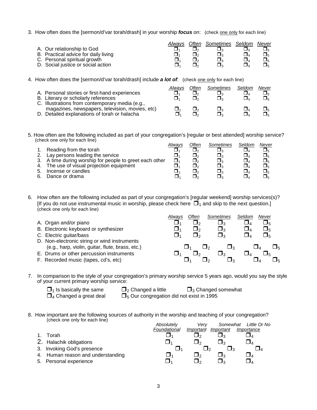3. How often does the [sermon/d'var torah/drash] in your worship *focus* on: (check one only for each line)

|                                      | Alwavs | Often | Sometimes Seldom | Never |
|--------------------------------------|--------|-------|------------------|-------|
| A. Our relationship to God           |        |       |                  |       |
| B. Practical advice for daily living |        |       |                  |       |
| C. Personal spiritual growth         |        |       |                  |       |
| D. Social justice or social action   |        |       |                  |       |

4. How often does the [sermon/d'var torah/drash] include *a lot of*: (check one only for each line)

|                                                                                                    | Alwavs | Often | Sometimes | Seldom | Never |
|----------------------------------------------------------------------------------------------------|--------|-------|-----------|--------|-------|
| A. Personal stories or first-hand experiences                                                      |        |       |           |        |       |
| B. Literary or scholarly references                                                                |        |       |           |        | ∍⊿⊡   |
| C. Illustrations from contemporary media (e.g.,<br>magazines, newspapers, television, movies, etc) |        |       |           |        |       |
| D. Detailed explanations of torah or halacha                                                       |        |       |           |        | □∝    |

5. How often are the following included as part of your congregation's [regular or best attended] worship service? (check one only for each line)

|    |                                                         | Alwavs | Often | Sometimes | Seldom | Never |
|----|---------------------------------------------------------|--------|-------|-----------|--------|-------|
|    | 1. Reading from the torah                               |        |       |           |        |       |
| 2. | Lay persons leading the service                         |        |       |           |        |       |
|    | 3. A time during worship for people to greet each other | ⊓،     |       |           |        |       |
|    | 4. The use of visual projection equipment               |        |       |           |        |       |
| 5. | Incense or candles                                      |        |       |           |        |       |
| 6. | Dance or drama                                          |        |       |           |        |       |

6. How often are the following included as part of your congregation's [regular weekend] worship services(s)? [If you do not use instrumental music in worship, please check here  $\Box_1$  and skip to the next question.] (check one only for each line)

| A. Organ and/or piano<br>B. Electronic keyboard or synthesizer                               | Alwavs | Often<br>ەك    | Sometimes<br>⊐ദ<br>$\square_3$ | Seldom | Never<br>$\Box_5$ |
|----------------------------------------------------------------------------------------------|--------|----------------|--------------------------------|--------|-------------------|
| C. Electric guitar/bass<br>D. Non-electronic string or wind instruments                      |        | $\mathbf{J}_2$ | ┛╕                             |        |                   |
| (e.g., harp, violin, guitar, flute, brass, etc.)<br>E. Drums or other percussion instruments |        |                | <u> Ja</u><br>- 12             |        |                   |
| F. Recorded music (tapes, cd's, etc)                                                         |        |                | -12                            |        | ╹                 |

- 7. In comparison to the style of your congregation's primary worship service 5 years ago, would you say the style of your current primary worship service:
	-
	- $\Box_1$  Is basically the same  $\Box_2$  Changed a little  $\Box_3$  Changed somewhat  $\Box_4$  Changed a great deal  $\Box_5$  Our congregation did not exist in 1995  $\Box$ <sub>5</sub> Our congregation did not exist in 1995
- 8. How important are the following sources of authority in the worship and teaching of your congregation? (check one only for each line)

|    |                                   | Absolutely<br>Foundational | Verv<br>Important | Somewhat<br>Important | Little Or No<br>Importance |
|----|-----------------------------------|----------------------------|-------------------|-----------------------|----------------------------|
|    |                                   |                            |                   |                       |                            |
|    | Torah                             |                            |                   |                       |                            |
|    | 2. Halachik obligations           | ، ل                        | I2                |                       |                            |
|    | 3. Invoking God's presence        |                            |                   |                       |                            |
|    | 4. Human reason and understanding |                            | ∩ו                |                       |                            |
| 5. | Personal experience               |                            | Ιо                |                       |                            |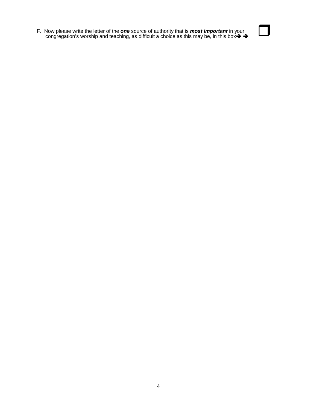F. Now please write the letter of the *one* source of authority that is *most important* in your F. Now please write the letter of the **one** source of authority that is **most important** in your<br>congregation's worship and teaching, as difficult a choice as this may be, in this box $\rightarrow$ 

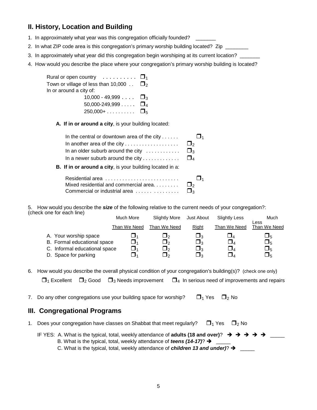### **II. History, Location and Building**

- 1. In approximately what year was this congregation officially founded? \_\_\_\_\_\_\_
- 2. In what ZIP code area is this congregation's primary worship building located?Zip\_\_\_\_\_\_\_\_
- 3. In approximately what year did this congregation begin worshiping at its current location?
- 4. How would you describe the place where your congregation's primary worship building is located?

| Rural or open country $\ldots \ldots \ldots \square_1$              |  |
|---------------------------------------------------------------------|--|
| Town or village of less than 10,000 $\ldots$ $\square$ <sub>2</sub> |  |
| In or around a city of:                                             |  |
| 10,000 - 49,999 $\ldots$ $\Box$ <sub>3</sub>                        |  |
| 50,000-249,999 $\Box$ <sub>4</sub>                                  |  |
| $250,000 + \ldots$ $\square_5$                                      |  |

**A. If in or around a city**, is your building located:

| In the central or downtown area of the city             |  |
|---------------------------------------------------------|--|
|                                                         |  |
| In an older suburb around the city $\ldots$ $\square_3$ |  |
| In a newer suburb around the city $\square$             |  |

**B. If in or around a city**, is your building located in a:

| Residential area                                |  |
|-------------------------------------------------|--|
| Mixed residential and commercial area $\square$ |  |
|                                                 |  |

5. How would you describe the *size* of the following relative to the current needs of your congregation?: (check one for each line) Much More Slightly More Just About Slightly Less Much

|                                                      | <b>IVIUCH IVIOLE</b>                    | Silghtly More | JUST ADOUT      | <b>Slightly Less</b> | iviuch.              |
|------------------------------------------------------|-----------------------------------------|---------------|-----------------|----------------------|----------------------|
|                                                      | Than We Need                            | Than We Need  | Right           | Than We Need         | Less<br>Than We Need |
| A. Your worship space<br>B. Formal educational space | ہ ل<br>$\mathbf{\mathbf{\mathsf{I}}}_1$ | – פ<br>⊔ פ    | פּ∪<br>$\Box_3$ | ⊔⊿                   | ப5<br>$\Box_5$       |
| C. Informal educational space                        | ⊐                                       | コ,            | $\Box_3$        |                      | $\Box_5$             |
| D. Space for parking                                 | コ,                                      | ⅂ℴ            | ∃∢              |                      | $\Box_5$             |

6. How would you describe the overall physical condition of your congregation's building(s)? (check one only)

 $\Box_1$  Excellent  $\Box_2$  Good  $\Box_3$  Needs improvement  $\Box_4$  In serious need of improvements and repairs

7. Do any other congregations use your building space for worship?  $\Box_1$  Yes  $\Box_2$  No

#### **III. Congregational Programs**

- 1. Does your congregation have classes on Shabbat that meet regularly?  $\Box_1$  Yes  $\Box_2$  No
	- IF YES: A. What is the typical, total, weekly attendance of **adults (18 and over)**?  $\rightarrow$   $\rightarrow$   $\rightarrow$   $\rightarrow$   $\rightarrow$   $\rightarrow$ B. What is the typical, total, weekly attendance of *teens (14-17)*? →  $\frac{1}{2}$ 
		- C. What is the typical, total, weekly attendance of *children 13 and under*)?  $\rightarrow$  \_\_\_\_\_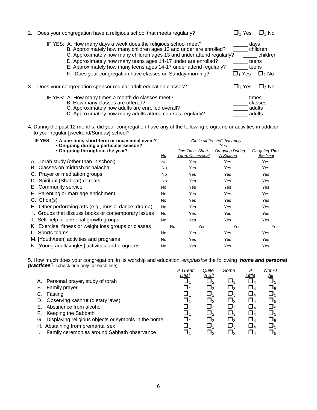| 2. | Does your congregation have a religious school that meets regularly?                                                                                                                                                                                                                                                                                                                                                 | □1 Yes                     | □っNo                                                          |
|----|----------------------------------------------------------------------------------------------------------------------------------------------------------------------------------------------------------------------------------------------------------------------------------------------------------------------------------------------------------------------------------------------------------------------|----------------------------|---------------------------------------------------------------|
|    | IF YES: A. How many days a week does the religious school meet?<br>B. Approximately how many children ages 13 and under are enrolled?<br>C. Approximately how many children ages 13 and under attend regularly?<br>D. Approximately how many teens ages 14-17 under are enrolled?<br>E. Approximately how many teens ages 14-17 under attend regularly?<br>F. Does your congregation have classes on Sunday morning? | $\square$ <sub>1</sub> Yes | days<br>children<br>children<br>teens<br>teens<br>$\Box$ 2 No |
|    | Does your congregation sponsor regular adult education classes?                                                                                                                                                                                                                                                                                                                                                      | $\square$ <sub>1</sub> Yes | □2 No                                                         |
|    | IF YES: A. How many times a month do classes meet?<br>B. How many classes are offered?<br>C. Approximately how adults are enrolled overall?<br>D. Approximately how many adults attend courses regularly?                                                                                                                                                                                                            |                            | times<br>classes<br>adults<br>adults                          |

4. During the past 12 months, did your congregation have any of the following programs or activities in addition to your regular [weekend/Sunday] school?

| IF YES: • A one-time, short-term or occasional event?<br>• On-going during a particular season? |                                                       |           | Circle all "Yeses" that apply<br>-------------------------- |                             |                           |
|-------------------------------------------------------------------------------------------------|-------------------------------------------------------|-----------|-------------------------------------------------------------|-----------------------------|---------------------------|
|                                                                                                 | • On-going throughout the year?                       | <u>No</u> | One-Time, Short-<br>Term, Occasional                        | On-going During<br>A Season | On-going Thru<br>the Year |
|                                                                                                 | A. Torah study (other than in school)                 | <b>No</b> | Yes                                                         | Yes                         | Yes                       |
|                                                                                                 | B. Classes on midrash or halacha                      | No        | Yes                                                         | Yes                         | Yes                       |
|                                                                                                 | C. Prayer or meditation groups                        | No.       | Yes                                                         | Yes                         | Yes                       |
|                                                                                                 | D. Spiritual (Shabbat) retreats                       | No.       | Yes                                                         | Yes                         | Yes                       |
|                                                                                                 | E. Community service                                  | No        | Yes                                                         | Yes                         | Yes                       |
|                                                                                                 | F. Parenting or marriage enrichment                   | No        | Yes                                                         | Yes                         | Yes                       |
| G. Choir(s)                                                                                     |                                                       | No        | Yes                                                         | Yes                         | Yes                       |
|                                                                                                 | H. Other performing arts (e.g., music, dance, drama)  | No        | Yes                                                         | Yes                         | Yes                       |
|                                                                                                 | I. Groups that discuss books or contemporary issues   | No        | Yes                                                         | Yes                         | Yes                       |
|                                                                                                 | J. Self-help or personal growth groups                | No        | Yes                                                         | Yes                         | Yes                       |
|                                                                                                 | K. Exercise, fitness or weight loss groups or classes | <b>No</b> | Yes                                                         | Yes                         | Yes                       |
| L. Sports teams                                                                                 |                                                       | No        | Yes                                                         | Yes                         | Yes                       |
|                                                                                                 | M. [Youth/teen] activities and programs               | No        | Yes                                                         | Yes                         | Yes                       |
|                                                                                                 | N. [Young adult/singles] activities and programs      | <b>No</b> | Yes                                                         | Yes                         | Yes                       |
|                                                                                                 |                                                       |           |                                                             |                             |                           |

5. How much does your congregation, in its worship and education, *emphasize* the following *home and personal practices*? (check one only for each line) *A Great Quite Some A Not At*

|    |                                                        | A Great     | Quite        | Some        | Α                      | Not At                 |
|----|--------------------------------------------------------|-------------|--------------|-------------|------------------------|------------------------|
|    |                                                        | <u>Deal</u> | <u>A Bit</u> |             | <u>Little</u>          | $\frac{\Delta l l}{2}$ |
|    | A. Personal prayer, study of torah                     | $\Box_1$    | $\Box_2$     | $\square_3$ |                        | $\Box_5$               |
| В. | <b>Family prayer</b>                                   | $\Box_1$    | $\Box_2$     | $\Box_3$    | $\sqcup_{\varDelta}$   | $\square_5$            |
| C. | Fasting                                                | $\Box_1$    | $\Box_2$     | $\Box_3$    | $\square_{\mathtt{4}}$ | $\square_5$            |
|    | D. Observing kashrut (dietary laws)                    | 囗1          | $\Box_2$     | $\Box_3$    | $\Box_4$               | $\Box_5$               |
|    | Abstinence from alcohol                                | $\Box$ 1    | $\Box_2$     | $\Box_3$    | $\Box$                 | $\Box_5$               |
| Е. | Keeping the Sabbath                                    | $\Box_1$    | $\Box_2$     | $\Box_3$    | $\square_{\mathtt{4}}$ | $\square_5$            |
|    | G. Displaying religious objects or symbols in the home | $\Box_1$    | $\Box$       | $\Box_3$    | $\square_{\it 4}$      | $\square_5$            |
|    | H. Abstaining from premarital sex                      | $\Box$ 1    | $\Box$       | $\Box_3$    | $\Box$                 | $\square_5$            |
|    | Family ceremonies around Sabbath observance            | 1           | $\Box_2$     | $\square_3$ |                        | பு5                    |
|    |                                                        |             |              |             |                        |                        |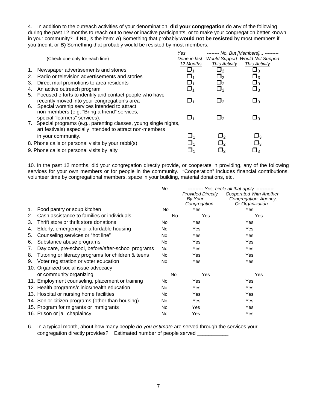4. In addition to the outreach activities of your denomination, **did your congregation** do any of the following during the past 12 months to reach out to new or inactive participants, or to make your congregation better known in your community? If **No**, is the item: **A)** Something that probably **would not be resisted** by most members if you tried it; or **B)** Something that probably would be resisted by most members.

|                                                      | Yes                                                                                                                                                                                                                                                         |                                                                                  | ------- No. But [Members] --------     |
|------------------------------------------------------|-------------------------------------------------------------------------------------------------------------------------------------------------------------------------------------------------------------------------------------------------------------|----------------------------------------------------------------------------------|----------------------------------------|
| (Check one only for each line)                       |                                                                                                                                                                                                                                                             |                                                                                  | <b>Would Support Would Not Support</b> |
|                                                      | 12 Months                                                                                                                                                                                                                                                   | <b>This Activity</b>                                                             | <b>This Activity</b>                   |
| 1. Newspaper advertisements and stories              | ■1                                                                                                                                                                                                                                                          | $\sqcup$ <sub>2</sub>                                                            | പ $_3$                                 |
| Radio or television advertisements and stories<br>2. | ∐4                                                                                                                                                                                                                                                          | $\Box_2$                                                                         | $\Box_3$                               |
| 3.<br>Direct mail promotions to area residents       | $\Box_1$                                                                                                                                                                                                                                                    | $\Box_2$                                                                         | $\square_3$                            |
| An active outreach program<br>4.                     | $\square_1$                                                                                                                                                                                                                                                 | $\Box$ 2                                                                         | $\square_3$                            |
|                                                      |                                                                                                                                                                                                                                                             |                                                                                  |                                        |
| recently moved into your congregation's area         | $\sqcup_1$                                                                                                                                                                                                                                                  | $\sqcup$ <sub>2</sub>                                                            | $\Box_3$                               |
|                                                      |                                                                                                                                                                                                                                                             |                                                                                  |                                        |
|                                                      |                                                                                                                                                                                                                                                             |                                                                                  |                                        |
|                                                      |                                                                                                                                                                                                                                                             | פ⊏                                                                               | בּ∫                                    |
|                                                      |                                                                                                                                                                                                                                                             |                                                                                  |                                        |
|                                                      |                                                                                                                                                                                                                                                             |                                                                                  |                                        |
| in your community.                                   | $\sqcup_1$                                                                                                                                                                                                                                                  | $\square_2$                                                                      | $\square_3$                            |
| 8. Phone calls or personal visits by your rabbi(s)   |                                                                                                                                                                                                                                                             | $\square_2$                                                                      | $\square_3$                            |
| 9. Phone calls or personal visits by laity           |                                                                                                                                                                                                                                                             |                                                                                  | $\Box_3$                               |
|                                                      | 5. Focused efforts to identify and contact people who have<br>6. Special worship services intended to attract<br>non-members (e.g. "Bring a friend" services,<br>special "learners" services).<br>art festivals) especially intended to attract non-members | $\sqcup_1$<br>7. Special programs (e.g., parenting classes, young single nights, | Done in last                           |

10. In the past 12 months, did your congregation directly provide, or cooperate in providing, any of the following services for your own members or for people in the community. "Cooperation" includes financial contributions, volunteer time by congregational members, space in your building, material donations, etc.

|    |                                                    | No        |                                                     | --------- Yes, circle all that apply -----------                    |
|----|----------------------------------------------------|-----------|-----------------------------------------------------|---------------------------------------------------------------------|
|    |                                                    |           | <b>Provided Directly</b><br>By Your<br>Congregation | Cooperated With Another<br>Congregation, Agency,<br>Or Organization |
| 1. | Food pantry or soup kitchen                        | No.       | Yes                                                 | Yes                                                                 |
| 2. | Cash assistance to families or individuals         | No        | Yes                                                 | Yes                                                                 |
| 3. | Thrift store or thrift store donations             | No        | Yes                                                 | Yes                                                                 |
| 4. | Elderly, emergency or affordable housing           | No.       | Yes                                                 | Yes                                                                 |
| 5. | Counseling services or "hot line"                  | No.       | Yes                                                 | Yes                                                                 |
| 6. | Substance abuse programs                           | No.       | Yes                                                 | Yes                                                                 |
| 7. | Day care, pre-school, before/after-school programs | <b>No</b> | Yes                                                 | Yes                                                                 |
| 8. | Tutoring or literacy programs for children & teens | No.       | Yes                                                 | Yes                                                                 |
| 9. | Voter registration or voter education              | No.       | Yes                                                 | Yes                                                                 |
|    | 10. Organized social issue advocacy                |           |                                                     |                                                                     |
|    | or community organizing                            | No.       | Yes                                                 | Yes                                                                 |
|    | 11. Employment counseling, placement or training   | No.       | Yes                                                 | Yes                                                                 |
|    | 12. Health programs/clinics/health education       | No.       | Yes                                                 | Yes                                                                 |
|    | 13. Hospital or nursing home facilities            | <b>No</b> | Yes                                                 | Yes                                                                 |
|    | 14. Senior citizen programs (other than housing)   | No        | Yes                                                 | Yes                                                                 |
|    | 15. Program for migrants or immigrants             | <b>No</b> | <b>Yes</b>                                          | Yes                                                                 |
|    | 16. Prison or jail chaplaincy                      | No        | Yes                                                 | Yes                                                                 |
|    |                                                    |           |                                                     |                                                                     |

6. In a typical month, about how many people *do you estimate* are served through the services your congregation directly provides? Estimated number of people served \_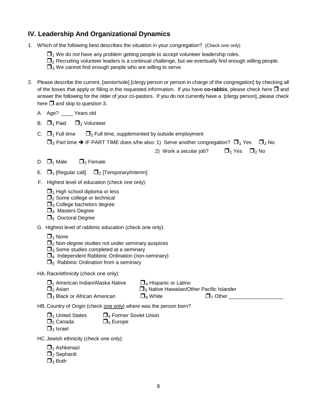#### **IV. Leadership And Organizational Dynamics**

- 1. Which of the following best describes the situation in your congregation? (Check one only)
	- $\Box$ <sub>1</sub> We do *not* have any problem getting people to accept volunteer leadership roles.
	- $\Box_2$  Recruiting volunteer leaders is a continual challenge, but we eventually find enough willing people.

 $\Box$ <sub>3</sub> We cannot find enough people who are willing to serve.

- 2. Please describe the current, [senior/sole] [clergy person or person in charge of the congregation] by checking all of the boxes that apply or filling in the requested information. If you have **co-rabbis**, please check here  $\Box$  and answer the following for the older of your co-pastors. If you do not currently have a [clergy person], please check here  $\Box$  and skip to question 3.
	- A. Age? Years old
	- B.  $\Box$ <sub>1</sub> Paid  $\Box$ <sub>2</sub> Volunteer
	- C.  $\Box$ <sub>1</sub> Full time  $\Box$ <sub>2</sub> Full time, supplemented by outside employment  $\Box_3$  Part time  $\rightarrow$  IF PART TIME does s/he also: 1) Serve another congregation?  $\Box_1$  Yes  $\Box_2$  No

2) Work a secular job?  $\Box_1$  Yes  $\Box_2$  No

- D.  $\Box_1$  Male  $\Box_2$  Female
- E.  $\Box$ <sub>1</sub> [Regular call]  $\Box$ <sub>2</sub> [Temporary/interim]
- F. Highest level of education (check one only):
	- $\Box$ <sub>1</sub> High school diploma or less
	- $\Box$ <sub>2</sub> Some college or technical
	- $\Box_3$  College bachelors degree
	- $\Box_4$  Masters Degree
	- $\Box$ <sub>5</sub> Doctoral Degree
- G. Highest level of rabbinic education (check one only):
	- $\Box$ <sub>1</sub> None
	- $\Box$ <sub>2</sub> Non-degree studies not under seminary auspices
	- $\Box_3$  Some studies completed at a seminary
	- $\Box_4$  Independent Rabbinic Ordination (non-seminary)
	- $\Box_5$  Rabbinic Ordination from a seminary
- HA. Race/ethnicity (check one only):

| $\Box$ <sub>1</sub> American Indian/Alaska Native | $\Box_4$ Hispanic or Latino |                                                               |
|---------------------------------------------------|-----------------------------|---------------------------------------------------------------|
| $\Box$ <sub>2</sub> Asian                         |                             | $\square$ <sub>5</sub> Native Hawaiian/Other Pacific Islander |
| $\square$ <sub>3</sub> Black or African American  | $\Box_6$ White              | $\Box$ 7 Other                                                |

HB. Country of Origin (check one only) where was the person born?

- $\Box_1$  United States  $\Box_4$  Former Soviet Union
- $\Box_2$  Canada  $\Box_5$  Europe
- $\Box$ <sub>3</sub> Israel

HC.Jewish ethnicity (check one only):

- $\Box$ <sub>1</sub> Ashkenazi
- $\Box_2$  Sephardi
- $\Box_3$  Both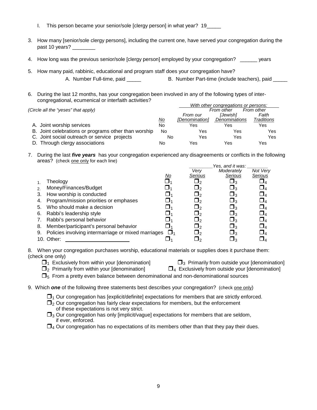- I. This person became your senior/sole [clergy person] in what year? 19\_\_\_\_
- 3. How many [senior/sole clergy persons], including the current one, have served your congregation during the past 10 years? \_\_\_\_\_\_\_\_
- 4. How long was the previous senior/sole [clergy person] employed by your congregation? \_\_\_\_\_\_ years
- 5. How many paid, rabbinic, educational and program staff does your congregation have?

A. Number Full-time, paid **B. Number Part-time (include teachers)**, paid

6. During the last 12 months, has your congregation been involved in any of the following types of intercongregational, ecumenical or interfaith activities? *With other congregations or persons:* 

|                                                      |           |                | <i>vith other congregations or persons:</i> |            |
|------------------------------------------------------|-----------|----------------|---------------------------------------------|------------|
| (Circle all the "yeses" that apply)                  |           |                | From other                                  | From other |
|                                                      |           | From our       | [Jewish]                                    | Faith      |
|                                                      | <u>No</u> | [Denomination] | Denominations                               | Traditions |
| A. Joint worship services                            | No        | Yes            | Yes                                         | Yes        |
| B. Joint celebrations or programs other than worship | No        | Yes            | Yes                                         | Yes        |
| C. Joint social outreach or service projects         | No        | Yes            | Yes                                         | Yes        |
| D. Through clergy associations                       | No        | Yes            | Yes                                         | Yes        |

7. During the last *five years* has your congregation experienced any disagreements or conflicts in the following areas? (check one only for each line)

|                       |                                                     |           |           | Yes, and it was: |             |
|-----------------------|-----------------------------------------------------|-----------|-----------|------------------|-------------|
|                       |                                                     |           | Verv      | Moderatelv       | Not Very    |
|                       |                                                     | <u>No</u> | Serious   | Serious          | Serious     |
|                       | Theology                                            |           |           | ∟ദ               |             |
| $\mathcal{P}_{\cdot}$ | Money/Finances/Budget                               |           | _J2       | $\sqcup_3$       | $\sqcup_4$  |
| 3.                    | How worship is conducted                            |           | _J2       | $\square_3$      | $\sqcup_4$  |
| 4.                    | Program/mission priorities or emphases              |           | _J2       | $\square_3$      | $\square_4$ |
| 5.                    | Who should make a decision                          |           | 92 __     | $\sqcup_3$       | $\square_4$ |
| 6.                    | Rabbi's leadership style                            |           | ┛╸        | צ⊔               | $\sqcup_4$  |
|                       | Rabbi's personal behavior                           |           | ┛╸        | $\sqcup_3$       | <u>J</u> 4  |
| 8.                    | Member/participant's personal behavior              |           | ┛╸        | ⊔∢               | $\Box$      |
| 9.                    | Policies involving intermarriage or mixed marriages |           | <u> ე</u> | ⊔∢               | J⊿          |
|                       | 10. Other:                                          |           |           | צ⊔               |             |

8. When your congregation purchases worship, educational materials or supplies does it purchase them: (check one only)

| $\Box_1$ Exclusively from within your [denomination] | $\square_3$ Primarily from outside your [denomination] |
|------------------------------------------------------|--------------------------------------------------------|

- $\Box$ <sub>2</sub> Primarily from within your [denomination]  $\Box$ <sub>4</sub> Exclusively from outside your [denomination]
- $\Box$ <sub>5</sub> From a pretty even balance between denominational and non-denominational sources
- 9. Which **one** of the following three statements best describes your congregation? (check <u>one only</u>)
	- $\Box$ <sub>1</sub> Our congregation has [explicit/definite] expectations for members that are strictly enforced.
	- $\Box$ <sub>2</sub> Our congregation has fairly clear expectations for members, but the enforcement of these expectations is not very strict.
	- $\square$ <sub>3</sub> Our congregation has only [implicit/vague] expectations for members that are seldom, if ever, enforced.
	- $\Box_4$  Our congregation has no expectations of its members other than that they pay their dues.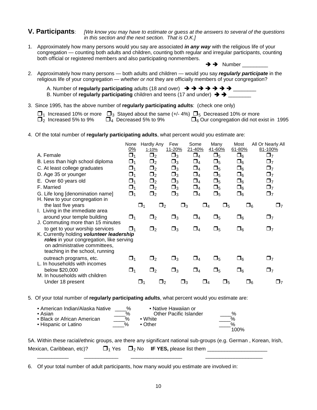#### **V. Participants**: *[We know you may have to estimate or guess at the answers to several of the questions in this section and the next section. That is O.K.]*

- 1. Approximately how many persons would you say are associated *in any way* with the religious life of your congregation — counting both adults and children, counting both regular and irregular participants, counting both official or registered members and also participating nonmembers.  $\rightarrow$   $\rightarrow$  Number
- 2. Approximately how many persons both adults and children would you say *regularly participate* in the religious life of your congregation — *whether or not* they are officially members of your congregation?

| A. Number of regularly participating adults (18 and over) $\rightarrow$ $\rightarrow$ $\rightarrow$ $\rightarrow$ $\rightarrow$ $\rightarrow$ |  |
|-----------------------------------------------------------------------------------------------------------------------------------------------|--|
| B. Number of regularly participating children and teens (17 and under) $\rightarrow \rightarrow$ .                                            |  |

3. Since 1995, has the above number of **regularly participating adults**: (check one only)

|                                        | $\Box_1$ Increased 10% or more $\Box_3$ Stayed about the same (+/-4%) $\Box_5$ Decreased 10% or more |                                                 |  |
|----------------------------------------|------------------------------------------------------------------------------------------------------|-------------------------------------------------|--|
| $\Box$ <sub>2</sub> Increased 5% to 9% | $\Box_4$ Decreased 5% to 9%                                                                          | $\Box_6$ Our congregation did not exist in 1995 |  |

4. Of the total number of **regularly participating adults**, what percent would you estimate are:

|                                                                                                                                                           | None<br>0%  | <b>Hardly Any</b><br>1-10% | Few<br>11-20% | Some<br>21-40% | Many<br>41-60%       | Most<br>61-80% | All Or Nearly All<br>81-100% |
|-----------------------------------------------------------------------------------------------------------------------------------------------------------|-------------|----------------------------|---------------|----------------|----------------------|----------------|------------------------------|
| A. Female                                                                                                                                                 | $\Box_1$    | $\Box_2$                   | $\Box_3$      | $\square_4$    | $\Box_5$             | $\Box_6$       | $\Box$ 7                     |
| B. Less than high school diploma                                                                                                                          | $\Box_1$    | $\Box_2$                   | $\Box_3$      | $\square_4$    | $\Box_5$             | $\square_6$    | $\Box$ 7                     |
| C. At least college graduates                                                                                                                             | $\square_1$ | $\Box_2$                   | $\square_3$   | $\square_4$    | $\square_5$          | $\square_6$    | $\Box$ 7                     |
| D. Age 35 or younger                                                                                                                                      | $\square_1$ | $\Box_2$                   | $\square_3$   | $\Box_4$       | $\Box_5$             | $\Box_6$       | $\Box_7$                     |
| E. Over 60 years old                                                                                                                                      | $\Box_1$    | $\Box_2$                   | $\Box_3$      | $\Box_4$       | $\Box_5$             | $\square_6$    | $\Box$ 7                     |
| F. Married                                                                                                                                                | $\Box_1$    | $\Box_2$                   | $\square_3$   | $\square_4$    | $\Box_5$             | $\Box_6$       | $\Box$ 7                     |
| G. Life long [denomination name]<br>H. New to your congregation in                                                                                        | $\Box_1$    | $\Box_2$                   | $\Box_3$      | $\Box_4$       | $\Box_5$             | $\Box_6$       | $\Box$ 7                     |
| the last five years<br>I. Living in the immediate area                                                                                                    |             | $\Box_2$<br>$\Box$ 1       | $\square_3$   |                | $\Box_5$<br>$\Box_4$ | $\Box_6$       | □7                           |
| around your temple building<br>J. Commuting more than 15 minutes                                                                                          | $\Box_1$    | $\Box_2$                   | $\Box_3$      | $\Box_4$       | $\Box_5$             | $\square_6$    | $\Box$ 7                     |
| to get to your worship services                                                                                                                           | ❏1          | $\Box_2$                   | $\Box_3$      | $\Box_4$       | $\square_5$          | $\Box_6$       | $\Box$                       |
| K. Currently holding volunteer leadership<br>roles in your congregation, like serving<br>on administrative committees,<br>teaching in the school, running |             |                            |               |                |                      |                |                              |
| outreach programs, etc.<br>L. In households with incomes                                                                                                  | $\Box_1$    | $\Box_2$                   | $\square_3$   | $\square_4$    | $\square_5$          | $\square_6$    | $\Box$ 7                     |
| below \$20,000<br>M. In households with children                                                                                                          | $\Box_1$    | $\Box_2$                   | $\Box_3$      | $\Box_4$       | $\Box_5$             | $\Box_6$       | $\Box$ 7                     |
| Under 18 present                                                                                                                                          |             | $\square$<br>$\Box$ 2      |               | $\square_3$    | $\Box_4$<br>$\Box_5$ | $\Box_6$       | 97                           |

5. Of your total number of **regularly participating adults**, what percent would you estimate are:

| • American Indian/Alaska Native<br>∙ Asian.<br>• Black or African American<br>• Hispanic or Latino | %<br>$\%$<br>%<br>$\frac{1}{2}$ | • Native Hawaiian or<br>Other Pacific Islander<br>$\bullet$ White<br>$\bullet$ Other | $\frac{1}{2}$<br>100% |
|----------------------------------------------------------------------------------------------------|---------------------------------|--------------------------------------------------------------------------------------|-----------------------|
|----------------------------------------------------------------------------------------------------|---------------------------------|--------------------------------------------------------------------------------------|-----------------------|

|                           |  | 5A. Within these racial/ethnic groups, are there any significant national sub-groups (e.g. German, Korean, Irish, |
|---------------------------|--|-------------------------------------------------------------------------------------------------------------------|
| Mexican, Caribbean, etc)? |  | $\Box_1$ Yes $\Box_2$ No <b>IF YES</b> , please list them                                                         |

\_\_\_\_\_\_\_\_\_\_\_ \_\_\_\_\_\_\_\_\_\_\_\_ \_\_\_\_\_\_\_\_\_\_\_\_\_\_\_\_\_\_ \_\_\_\_\_\_\_\_\_\_\_\_\_\_\_\_\_\_\_\_

6. Of your total number of adult participants, how many would you estimate are involved in: